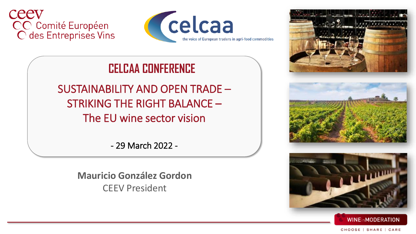



## **CELCAA CONFERENCE**

SUSTAINABILITY AND OPEN TRADE – STRIKING THE RIGHT BALANCE – The EU wine sector vision

- 29 March 2022 -

**Mauricio González Gordon** CEEV President

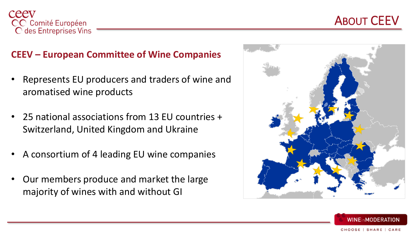

## ABOUT CEEV

#### **CEEV – European Committee of Wine Companies**

- Represents EU producers and traders of wine and aromatised wine products
- 25 national associations from 13 EU countries + Switzerland, United Kingdom and Ukraine
- A consortium of 4 leading EU wine companies
- Our members produce and market the large majority of wines with and without GI



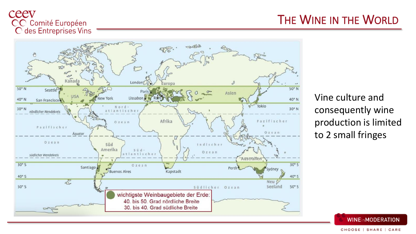## ceev CC Comité Européen<br>C des Entreprises Vins



Vine culture and consequently wine production is limited to 2 small fringes



#### THE WINE IN THE WORLD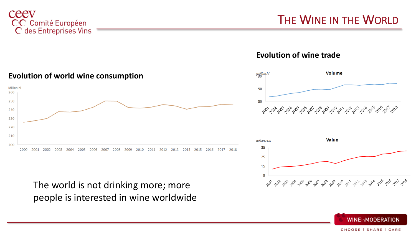

**Evolution of wine trade**







#### **Evolution of world wine consumption**



The world is not drinking more; more people is interested in wine worldwide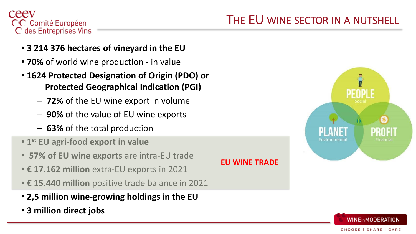

# THE EU WINE SECTOR IN A NUTSHELL

**EU WINE TRADE**

- **3 214 376 hectares of vineyard in the EU**
- **70%** of world wine production in value
- **1624 Protected Designation of Origin (PDO) or ……....Protected Geographical Indication (PGI)** 
	- **72%** of the EU wine export in volume
	- **90%** of the value of EU wine exports
	- **63%** of the total production
- **1 st EU agri-food export in value**
- **57% of EU wine exports** are intra-EU trade
- **€ 17.162 million** extra-EU exports in 2021
- **€ 15.440 million** positive trade balance in 2021
- **2,5 million wine-growing holdings in the EU**
- **3 million direct jobs**